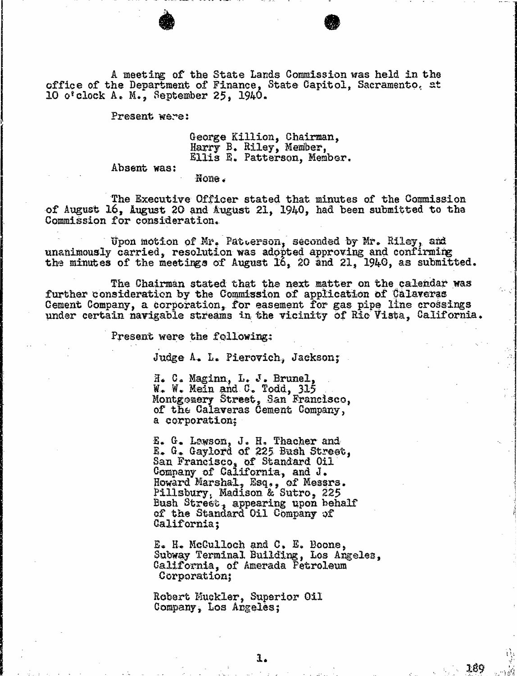A meeting of the State Lands Commission was held in the office of the Department of Finance, State Capitol, Sacramento, at 10 o'clock A. M., September 25, 1940.

Present were:

George Killion, Chairman Harry E. Riley, Member, Ellis E. Patterson, Member.

Absent was:

None .

The Executive Officer stated that minutes of the Commission of August 16, August 20 and August 21, 1940, had been submitted to the Commission for consideration.

Upon motion of Mr. Patterson, seconded by Mr. Riley, and unanimously carried, resolution was adopted approving and confirming the minutes of the meetings of August  $I_0$ ,  $20$  and  $21$ ,  $1940$ , as subm

The Chairman stated that the next matter on the calendar was further consideration by the Commission of application of Calaveras Cement Company, a corporation, for easement for gas pipe line crossings under certain navigable streams in the vicinity of Ric Vista, California.

Present were the following:

Judge A. L. Pierovich, Jackson;

H. C. Maginn, L. J. Brunel, W. W. Mein and C. Todd, 315 Montgomery Street, San Francisco, of the Calaveras Cement Company, a corporation;

E. G. Lawson, J. H. Thacher and<br>E. G. Gaylord of 225 Bush Street, San Francisco, of Standard Oil Company of California, and J. Howard Marshal, Esq., of Mes Pillsbury, Madison & Sutro Bush Street, appearing upon behalf of the Standard Oil Company of California;

E. H. Mcculloch and C. E. Boone, Subway Terminal Building, Los Angeles, California, of Amerada Petroleum Corporation;

Robert Muckler, Superior Oil Company, Los Angeles;

1:89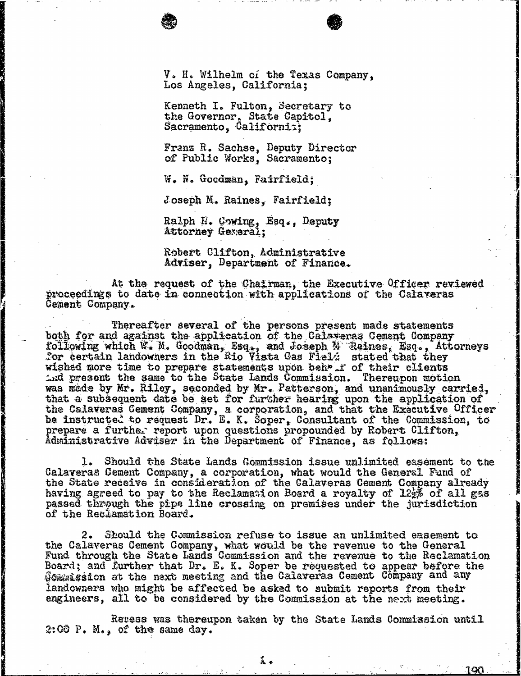V. H. Wilhelm of the Texas Company, Los Angeles, California;

Kenneth I. Fulton, Secretary to the Governor, State Capitol, Sacramento, California;

Franz R. Sachse, Deputy Director of Public Works, Sacramento;

W. N. Goodman, Fairfield;

Joseph M. Raines, Fairfield;

Ralph H. Cowing, Esq., Deputy Attorney General;

Robert Clifton, Administrative Adviser, Department of Finance.

At the request of the Chairman, the Executive Officer reviewed proceedings to date in connection with applications of the Calaveras Cement Company .

Thereafter several of the persons present made statements both for and against the application of the Calaveras Cement Company following which W. M. Goodman, Esq., and Joseph M Raines, Esq., Attorneys For certain landowners in the Rio Vista Gas Field stated that the Second that the Second that the Second the S wished more time to prepare statements upon beh i of their clients  $\Delta$ nd present the same to the State Lands Commission. Thereupon motion was made by Mr. Riley, seconded by Mr. Patterson, and unanimously carried, that a subsequent date be set for further hearing upon the application of the Calaveras Cement Company, a corporation, and that the Executive be instructed to request Dr. E. K. Soper, Consultant of the Commission, the Commission, to the Commission, the Commission, the Commission, the Commission, the Commission, the Commission, the Commission, the Commission, the prepare a further report upon questions propounded by Robert Clifton, Administrative Adviser in the Department of Finance, as follows:

1. Should the State Lands Commission issue unlimited easement to the Calaveras Cement Company, a corporation, what would the General Fund of the General Fund of the General Company the State receive in consideration of the Calaveras Cement Company<br>heriton camera to ready a file Barloweiden Beard a reaching of 10% having agreed to pay to the Reclamation Board a royalty of  $12\frac{1}{2}$  of all gas passed through the pipe line crossing on premises under the jurisdiction of the Reclamation Board.

2. Should the Commission refuse to issue an unlimited easement to the Calaveras Cement Company, what would be the revenue to the General state of the General State of the General State of the Company of the company of the Company of the Company of the Company of the Company of the Compan Fund through the State Lands Commission and the revenue to the Board; and further that Dr. E. K. Soper be requested to appear before the Gommission at the next meeting and the Calaveras Cement Company and any landowners who might be affected be asked to submit reports from their engineers, all to be considered by the Commission at the next meeting.

Reress was thereupon taken by the State Lands Commission until<br>2:00 P. M., of the same day.

溪乡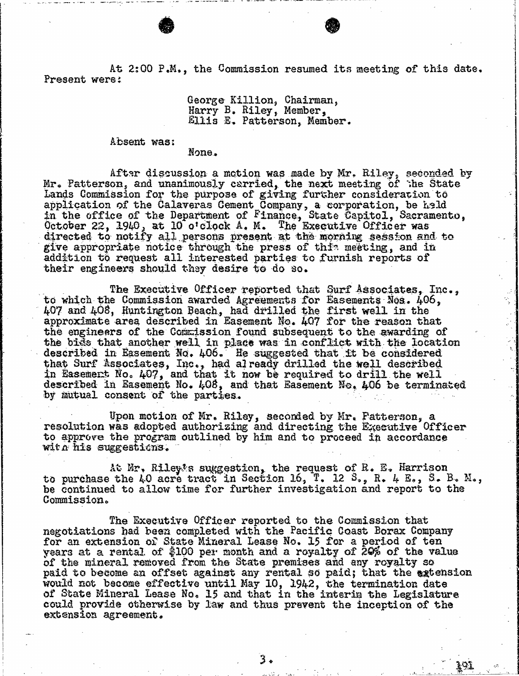At 2:00 P.M., the Commission resumed its meeting of this date.<br>Present wers:

## George Killion, Chairman, Harry B. Riley, Member, Ellis E. Patterson, Member.

Absent was:

None.

After discussion a motion was made by Mr. Riley, seconded by Mr. Patterson, and unanimously carried, the next meeting of the State<br>And a communicate carried, the next meeting of the Sta Lands Commission for the purpose of giving further consideration application of the Calaveras Cement Company, a corporation, be in the office of the Department of Finance, State Capitol, Sac October 22,  $1940$ , at 10 o'clock A. M. The Executive Officer  $\frac{1}{2}$ directed to notify all persons present at the morning session and to give appropriate notice through the press of this meeting, and in addition to request all interested parties to furnish reports of their engineers should they desire to do 30.

The Executive Officer reported that Surf Associates, Inc., to which the Commission awarded Agreements for Easements Nos. 406, 407 and 408, Huntington Beach, had drilled the first approximate area described in Easement No.  $407$  for the the engineers of the Commission found subsequent to the awarding of the bids that another well in place was in conflict with  $t$ described in Easement No. 406. He suggested that it be c that Surf Associates, Inc., had already drilled the well described in Easement No. 407, and that it now be required to drill the well described in Easement No. 408, and that Easement No. 406 be terminated by mutual consent of the parties.

Upon motion of Mr. Riley, seconded by Mr. Fatterson, a resolution was adopted authorizing and directing the Executive Officer to approve the program outlined by him and to proceed in accordance with his suggestions.

At Mr. Riley's suggestion, the request of R. E. Harrison to purchase the 40 acre tract in Section 16, T. 12 S., R. 4 E., S. B. M., be continued to allow time for further investigation and report to the Commission.

The Executive Officer reported to the Commission that negotiations had been completed with the Pacific Coast Borax Company for an extension of State Mineral Lease No. 15 for a period of ten years at a rental of \$100 per month and a royalty of 20% of the value of the mineral removed from the State premises and any royalty so paid to become an offset against any rental so paid; that the extension would not become effective until May 10, 1942, the termination date of State Mineral Lease No. 15 and that in the interim could provide otherwise by law and thus prevent the incept extension agreement.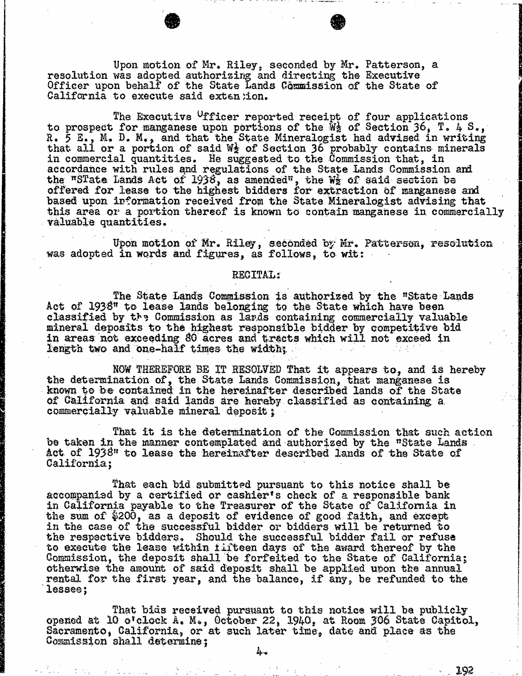Upon motion of Mr. Riley, seconded by Mr. Patter<br>resolution was adopted authorizing and directing the Executive Officer upon behalf of the State Lands Commission of the California to execute said extention.

The Executive <sup>o</sup>fficer reported receipt of fou to prospect for manganese upon portions of the Wa of Section 36, T. 4 S., T. 4 S., T. 4 S., T. 4 S., T. 4 S., T. 4 S., T. 4 S., T. 4 S., T. 4 S., T. 4 S., T. 4 S., T. 4 S., T. 4 S., T. 4 S., T. 4 S., T. 4 S., T. 4 S., T. 4 R. 5 E., M. D. M., and that the State Mineralogist had advised in writing that all or a portion of said W $\frac{1}{2}$  of Section 36 probably contains minerals in commercial quantities. He suggested to the Commission that, in accordance with rules and regulations of the State Lands Commission and the "STate Lands Act of  $1938$ , as amended", the We of said set offered for lease to the highest bidders for extraction of based upon information received from the State Mineralogist advising that this area or a portion thereof is known to contain manganese in commercially valuable quantities.

Upon motion of Mr. Riley, seconded by Mr. Patterson, resolution was adopted in words and figures, as follows, to wit:

## RECITAL:

The State Lands Commission is authorized by the "State"<br>Act of 1938" to lease lands belonging to the State which have been classified by the Commission as lands containing commercially valuable values. mineral deposits to the highest responsible bidder by competitive bid in areas not exceeding 80 acres and tracts which will not exceed in length two and one-half times the width;

NOW THEREFORE BE IT RESOLVED That it appears to, and is hereby the determination of, the State Lands Commission, that manganese is known to be contained in the hereinafter described lands of the State of California and said lands are hereby classified as containing a. commercially valuable mineral deposit ;

That it is the determination of the Commission that such action be taken in the manner contemplated and authorized by the "State Lands Act of 1938" to lease the hereinafter described lands of the State of California;

That each bid submitted pursuant to this notice shall be accompanied by a certified or cashier's check of a responsible bank in California payable to the Treasurer of the State of California in the sum of  $$200$ , as a deposit of evidence of good faith, and except in the case of the successful bidder or bidders will the respective bidders, Should the successful bidder to execute the lease within fifteen days of the award thereof by the Commission, the deposit shall be forfeited to the State of California; otherwise the amount of said deposit shall be applied upon the annual rental for the first year, and the balance, if any, be refunded to the lessee;

That bids received pursuant to this notice will be publicly opened at 10 o'clock A. M., October 22, 1940, at Room 306 State Capitol, Sacramento, California, or at such later time, date and place as the Commission shall determine;

 $4.$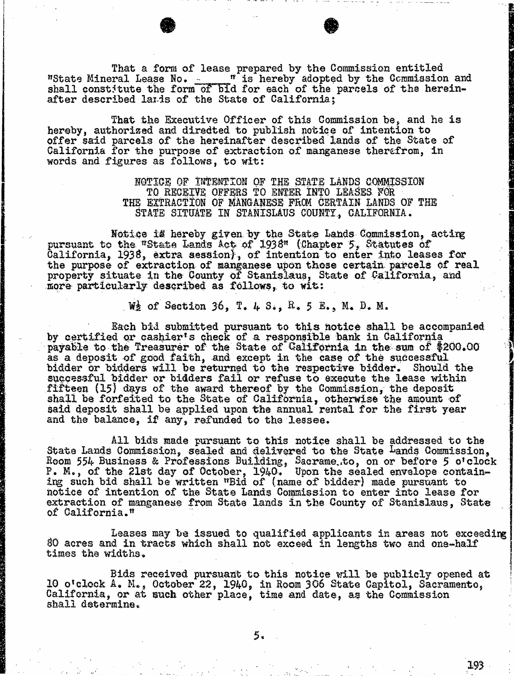That a form of lease prepared by the Commission entitled<br>"State Mineral Lease No. \_ \_ " is hereby adopted by the Commission and<br>shall constitute the form of bid for each of the parcels of the hereinafter described lands of the State of California;

That the Executive Officer of this Commission be, and he is hereby, authorized and directed to publish notice of intention to offer said parcels of the hereinafter described lands of the State of California for the purpose of extraction of manganese therefrom, in words and figures as follows, to wit:

> NOTICE OF INTENTION OF THE STATE LANDS COMMISSION TO RECEIVE OFFERS TO ENTER INTO LEASES FOR THE EXTRACTION OF MANGANESE FROM CERTAIN LANDS OF THE STATE SITUATE IN STANISLAUS COUNTY, CALIFORNIA.

Notice is hereby given by the State Lands Commission, acting pursuant to the "State Lands Act of 1938" (Chapter 5, Statutes of California, 1938, extra session), of intention to enter into leases for the purpose of extraction of manganese upon those certain parcels of real property situate in the County of Stanislaus, State of California, and more particularly described as follows, to wit:

W<sub>2</sub> of Section 36, T. 4 S., R. 5 E., M. D. M.

Each bid submitted pursuant to this notice shall be accompanied by certified or cashier's check of a responsible bank in California payable to the Treasurer of the State of California in the sum of \$200.00 as a deposit of good faith, and except in the case of the successful bidder or bidders will be returned to the respective bidder. Should the successful bidder or bidders fail or refuse to execute the lease with  $\frac{1}{2}$ fifteen  $(15)$  days of the award thereof by the Commission, the depositor of the depositor  $t$ . shall be forfeited to the State of California, otherwise the amount of said deposit shall be applied upon the annual rental for the first year and the balance, if any, refunded to the lessee.

All bids made pursuant to this notice shall be addressed to the State Lands Commission, sealed and delivered to the State Lands Commission, Room 554 Business & Professions Building, Sacrame.to, on or before P. M., of the 21st day of October, 1940. Upon the sealed en ing such bid shall be written "Bid of (name of bidder) made notice of intention of the State Lands Commission to enter into lease for extraction of manganese from State lands in the County of Stanislaus, State of California. "

Leases may be issued to qualified applicants in areas not exceeding 80 acres and in tracts which shall not exceed in lengths two and one-half times the widths.

Bids received pursuant to this notice will be publicly 10 o'clock A. M., October 22, 1940, in Room 306 State Capitol, Sac California, or at such other place, time and date, as the Com shall determine.

5.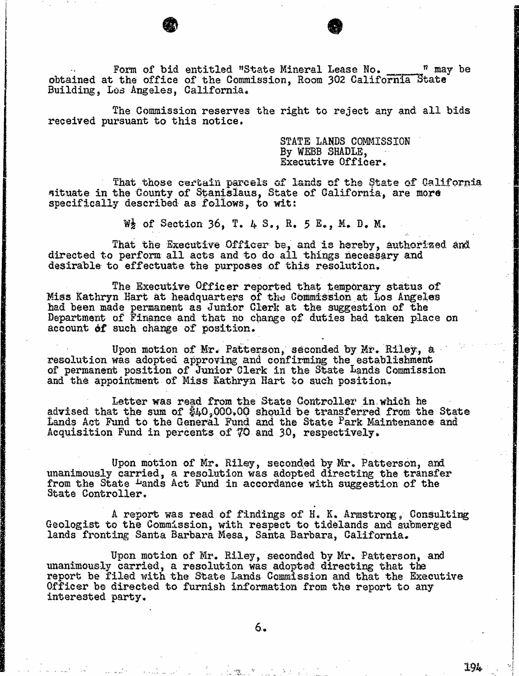Form of bid entitled "State Mineral Lease No.  $n$  may be obtained at the office of the Commission, Room 302 California State Building, Los Angeles, California.

The Commission reserves the right to reject any and all bids received pursuant to this notice.

STATE LANDS COMMISSION By WEBB SHADLE, Executive Officer.

That those certain parcels of lands of the State of California situate in the County of Stanislaus, State of California, are more specifically described as follows, to wit:

 $W_2$  of Section 36, T. 4 S., R. 5 E., M. D. M.

That the Executive Officer be, and is hereby, authorized and directed to perform all acts and to do all things necessary and desirable to effectuate the purposes of this resolution,

The Executive Officer reported that temporary status of Miss Kathryn Hart at headquarters of the Commission at Los Angeles had been made permanent as Junior Clerk at the suggestion of the Department of Finance and that no change of duties had taken place on account of such change of position.

Upon motion of Mr. Patterson, seconded by Mr. Rile<br>resolution was adopted approving and confirming the establish<br>confirming the establishment partition of Innie Clause for the Santa Lands Cum of permanent position of Junior Clerk in the State Lands and the appointment of Miss Kathryn Hart to such position,

Letter was read from the State Controller in which he advised that the sum of  $$40,000,00$  should be transferred from the State Lands Act Fund to the General Fund and the State Park Maintenance and Acquisition Fund in percents of 70 and 30, respectively.

Upon motion of Mr. Riley, seconded by Mr. Patterson,<br>unanimously carried, a resolution was adopted directing the tra from the State <del>Pands Act Fund in accordance with suggestion</del> State Controller.

A report was read of findings of H. K. Armstrong , Consulting Geologist to the Commission, with respect to tidelands and submerged lands fronting Santa Barbara Mesa, Santa Barbara, California.

Upon motion of Mr. Riley, seconded by Mr. Patterson, and unanimously carried, a resolution was adopted directing that the report be filed with the State Lands Commission and that the Executive Officer be directed to furnish information from the report to any interested party.